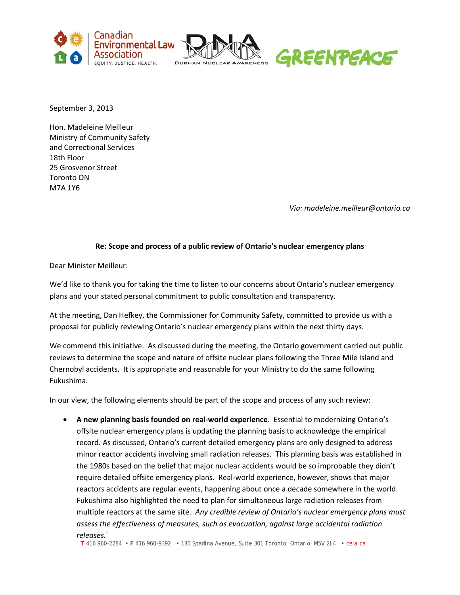



September 3, 2013

Hon. Madeleine Meilleur Ministry of Community Safety and Correctional Services 18th Floor 25 Grosvenor Street Toronto ON M7A 1Y6

*Via: madeleine.meilleur@ontario.ca*

## **Re: Scope and process of a public review of Ontario's nuclear emergency plans**

Dear Minister Meilleur:

We'd like to thank you for taking the time to listen to our concerns about Ontario's nuclear emergency plans and your stated personal commitment to public consultation and transparency.

At the meeting, Dan Hefkey, the Commissioner for Community Safety, committed to provide us with a proposal for publicly reviewing Ontario's nuclear emergency plans within the next thirty days.

We commend this initiative. As discussed during the meeting, the Ontario government carried out public reviews to determine the scope and nature of offsite nuclear plans following the Three Mile Island and Chernobyl accidents. It is appropriate and reasonable for your Ministry to do the same following Fukushima.

In our view, the following elements should be part of the scope and process of any such review:

• **A new planning basis founded on real-world experience**. Essential to modernizing Ontario's offsite nuclear emergency plans is updating the planning basis to acknowledge the empirical record. As discussed, Ontario's current detailed emergency plans are only designed to address minor reactor accidents involving small radiation releases. This planning basis was established in the 1980s based on the belief that major nuclear accidents would be so improbable they didn't require detailed offsite emergency plans. Real-world experience, however, shows that major reactors accidents are regular events, happening about once a decade somewhere in the world. Fukushima also highlighted the need to plan for simultaneous large radiation releases from multiple reactors at the same site. *Any credible review of Ontario's nuclear emergency plans must assess the effectiveness of measures, such as evacuation, against large accidental radiation releases.[i](#page-2-0)*

**T** 416 960-2284 • **F** 416 960-9392 • 130 Spadina Avenue, Suite 301 Toronto, Ontario M5V 2L4 • cela.ca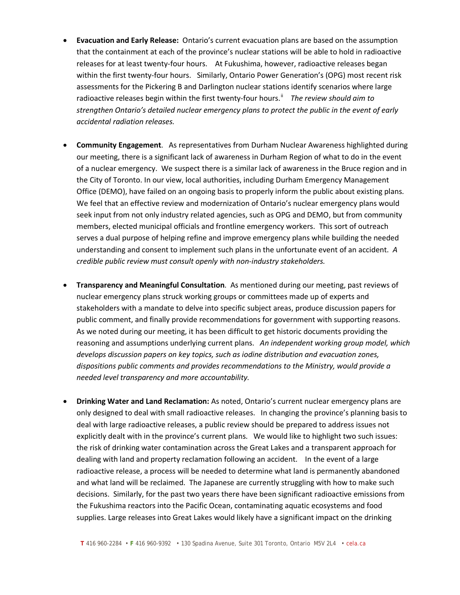- **Evacuation and Early Release:** Ontario's current evacuation plans are based on the assumption that the containment at each of the province's nuclear stations will be able to hold in radioactive releases for at least twenty-four hours. At Fukushima, however, radioactive releases began within the first twenty-four hours. Similarly, Ontario Power Generation's (OPG) most recent risk assessments for the Pickering B and Darlington nuclear stations identify scenarios where large radioactive releases begin within the first twenty-four hours.<sup>"</sup> The review should aim to *strengthen Ontario's detailed nuclear emergency plans to protect the public in the event of early accidental radiation releases.*
- **Community Engagement**. As representatives from Durham Nuclear Awareness highlighted during our meeting, there is a significant lack of awareness in Durham Region of what to do in the event of a nuclear emergency. We suspect there is a similar lack of awareness in the Bruce region and in the City of Toronto. In our view, local authorities, including Durham Emergency Management Office (DEMO), have failed on an ongoing basis to properly inform the public about existing plans. We feel that an effective review and modernization of Ontario's nuclear emergency plans would seek input from not only industry related agencies, such as OPG and DEMO, but from community members, elected municipal officials and frontline emergency workers. This sort of outreach serves a dual purpose of helping refine and improve emergency plans while building the needed understanding and consent to implement such plans in the unfortunate event of an accident. *A credible public review must consult openly with non-industry stakeholders.*
- **Transparency and Meaningful Consultation**. As mentioned during our meeting, past reviews of nuclear emergency plans struck working groups or committees made up of experts and stakeholders with a mandate to delve into specific subject areas, produce discussion papers for public comment, and finally provide recommendations for government with supporting reasons. As we noted during our meeting, it has been difficult to get historic documents providing the reasoning and assumptions underlying current plans. *An independent working group model, which develops discussion papers on key topics, such as iodine distribution and evacuation zones, dispositions public comments and provides recommendations to the Ministry, would provide a needed level transparency and more accountability.*
- **Drinking Water and Land Reclamation:** As noted, Ontario's current nuclear emergency plans are only designed to deal with small radioactive releases. In changing the province's planning basis to deal with large radioactive releases, a public review should be prepared to address issues not explicitly dealt with in the province's current plans. We would like to highlight two such issues: the risk of drinking water contamination across the Great Lakes and a transparent approach for dealing with land and property reclamation following an accident. In the event of a large radioactive release, a process will be needed to determine what land is permanently abandoned and what land will be reclaimed. The Japanese are currently struggling with how to make such decisions. Similarly, for the past two years there have been significant radioactive emissions from the Fukushima reactors into the Pacific Ocean, contaminating aquatic ecosystems and food supplies. Large releases into Great Lakes would likely have a significant impact on the drinking